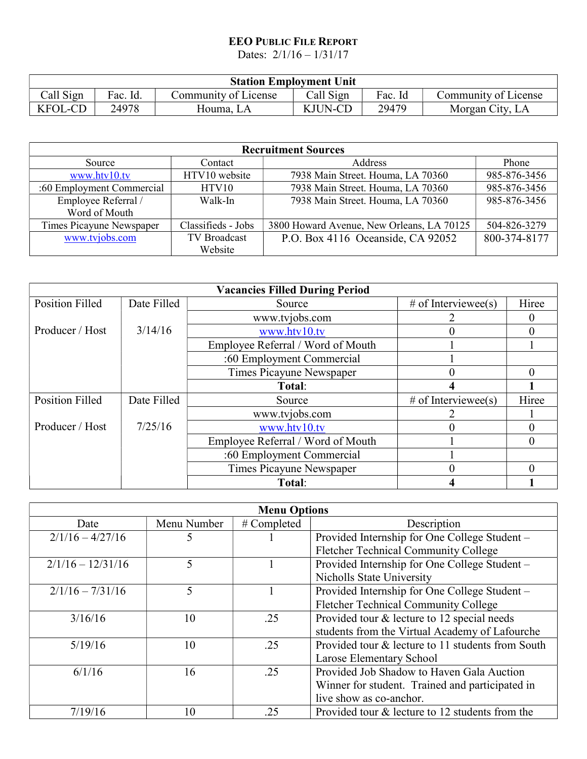## EEO PUBLIC FILE REPORT

Dates: 2/1/16 – 1/31/17

| <b>Station Employment Unit</b> |          |                      |           |         |                      |
|--------------------------------|----------|----------------------|-----------|---------|----------------------|
| Call Sign                      | Fac. Id. | Community of License | Call Sign | Fac. Id | Community of License |
| <b>KFOL-CD</b>                 | 24978    | Houma. LA            | KJUN-CD   | 29479   | Morgan City, LA      |

| <b>Recruitment Sources</b> |                     |                                           |              |  |
|----------------------------|---------------------|-------------------------------------------|--------------|--|
| Source                     | Contact             | Address                                   | Phone        |  |
| www.htv10.tv               | HTV10 website       | 7938 Main Street. Houma, LA 70360         | 985-876-3456 |  |
| :60 Employment Commercial  | HTV10               | 7938 Main Street. Houma, LA 70360         | 985-876-3456 |  |
| Employee Referral /        | Walk-In             | 7938 Main Street. Houma, LA 70360         | 985-876-3456 |  |
| Word of Mouth              |                     |                                           |              |  |
| Times Picayune Newspaper   | Classifieds - Jobs  | 3800 Howard Avenue, New Orleans, LA 70125 | 504-826-3279 |  |
| www.tvjobs.com             | <b>TV Broadcast</b> | P.O. Box 4116 Oceanside, CA 92052         | 800-374-8177 |  |
|                            | Website             |                                           |              |  |

| <b>Vacancies Filled During Period</b> |             |                                   |                     |       |  |
|---------------------------------------|-------------|-----------------------------------|---------------------|-------|--|
| <b>Position Filled</b>                | Date Filled | Source                            | # of Interviewee(s) | Hiree |  |
|                                       |             | www.tvjobs.com                    |                     |       |  |
| Producer / Host                       | 3/14/16     | www.htv10.tv                      |                     |       |  |
|                                       |             | Employee Referral / Word of Mouth |                     |       |  |
|                                       |             | :60 Employment Commercial         |                     |       |  |
|                                       |             | Times Picayune Newspaper          | $\mathbf{0}$        |       |  |
|                                       |             | Total:                            |                     |       |  |
| <b>Position Filled</b>                | Date Filled | Source                            | # of Interviewee(s) | Hiree |  |
|                                       |             | www.tvjobs.com                    |                     |       |  |
| Producer / Host                       | 7/25/16     | www.htv10.tv                      |                     |       |  |
|                                       |             | Employee Referral / Word of Mouth |                     |       |  |
|                                       |             | :60 Employment Commercial         |                     |       |  |
|                                       |             | Times Picayune Newspaper          |                     |       |  |
|                                       |             | Total:                            |                     |       |  |

| <b>Menu Options</b> |             |             |                                                   |
|---------------------|-------------|-------------|---------------------------------------------------|
| Date                | Menu Number | # Completed | Description                                       |
| $2/1/16 - 4/27/16$  | 5           |             | Provided Internship for One College Student -     |
|                     |             |             | <b>Fletcher Technical Community College</b>       |
| $2/1/16 - 12/31/16$ | 5           |             | Provided Internship for One College Student -     |
|                     |             |             | <b>Nicholls State University</b>                  |
| $2/1/16 - 7/31/16$  | 5           |             | Provided Internship for One College Student -     |
|                     |             |             | Fletcher Technical Community College              |
| 3/16/16             | 10          | .25         | Provided tour & lecture to 12 special needs       |
|                     |             |             | students from the Virtual Academy of Lafourche    |
| 5/19/16             | 10          | .25         | Provided tour & lecture to 11 students from South |
|                     |             |             | Larose Elementary School                          |
| 6/1/16              | 16          | .25         | Provided Job Shadow to Haven Gala Auction         |
|                     |             |             | Winner for student. Trained and participated in   |
|                     |             |             | live show as co-anchor.                           |
| 7/19/16             | 10          | .25         | Provided tour & lecture to 12 students from the   |